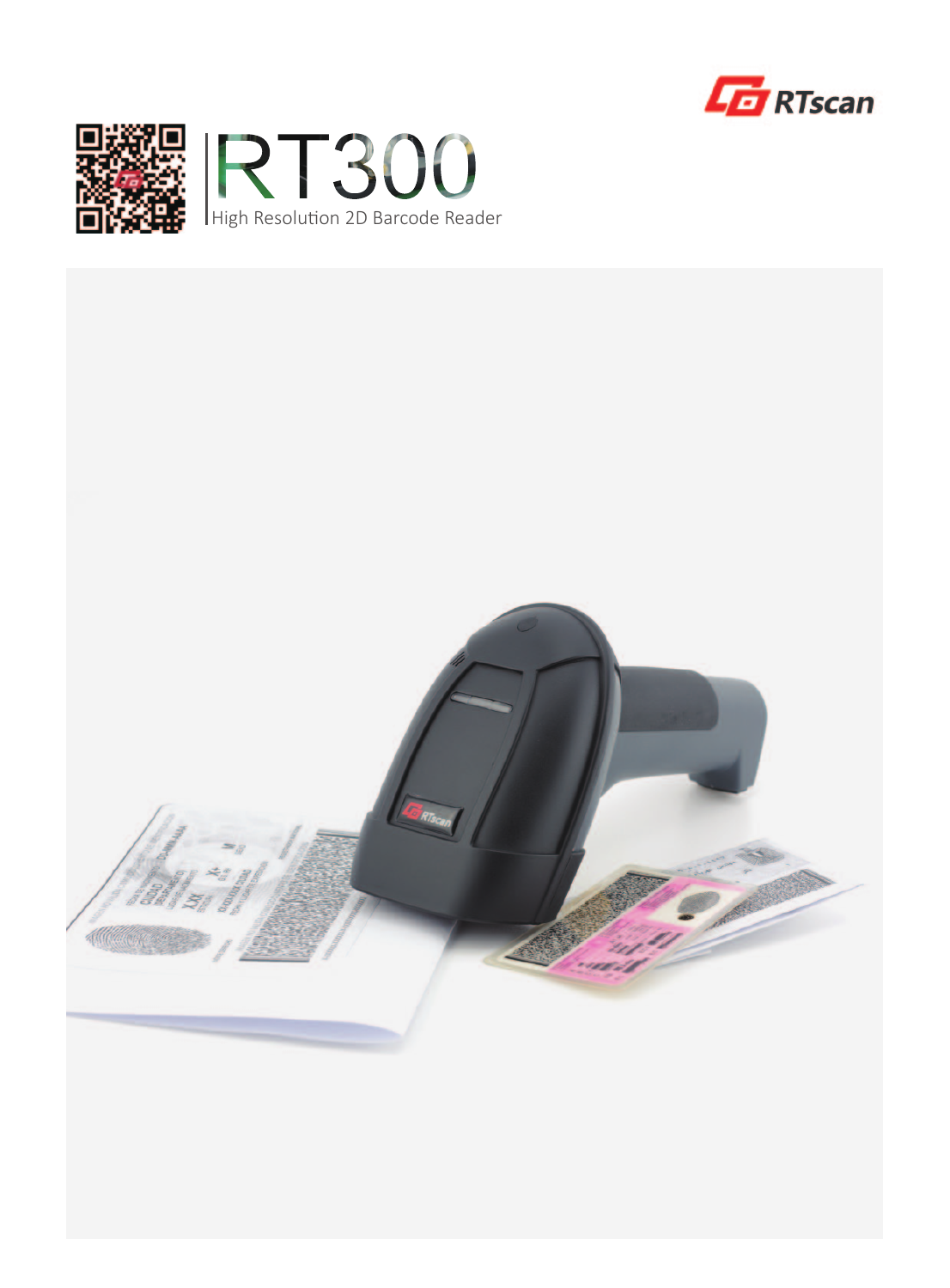





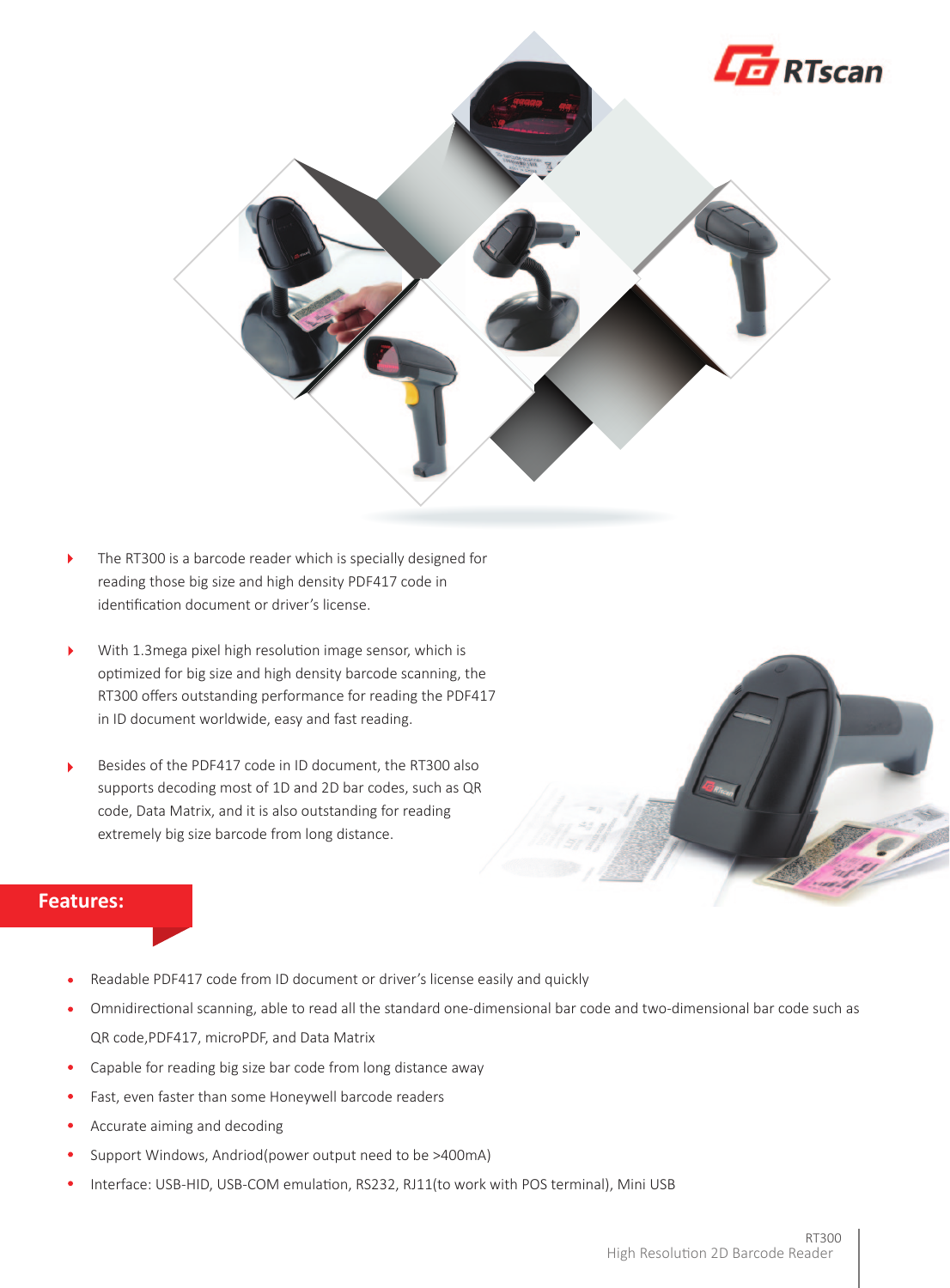

- $\blacktriangleright$ The RT300 is a barcode reader which is specially designed for reading those big size and high density PDF417 code in identification document or driver's license.
- With 1.3mega pixel high resolution image sensor, which is  $\blacktriangleright$ optimized for big size and high density barcode scanning, the RT300 offers outstanding performance for reading the PDF417 in ID document worldwide, easy and fast reading.
- Besides of the PDF417 code in ID document, the RT300 also  $\ddot{\phantom{1}}$ supports decoding most of 1D and 2D bar codes, such as QR code, Data Matrix, and it is also outstanding for reading extremely big size barcode from long distance.



## **Features:**

- Readable PDF417 code from ID document or driver's license easily and quickly
- $\bullet$ Omnidirectional scanning, able to read all the standard one-dimensional bar code and two-dimensional bar code such as QR code,PDF417, microPDF, and Data Matrix
- $\bullet$ Capable for reading big size bar code from long distance away
- Fast, even faster than some Honeywell barcode readers
- $\bullet$ Accurate aiming and decoding
- Support Windows, Andriod(power output need to be >400mA)
- Interface: USB-HID, USB-COM emulation, RS232, RJ11(to work with POS terminal), Mini USB